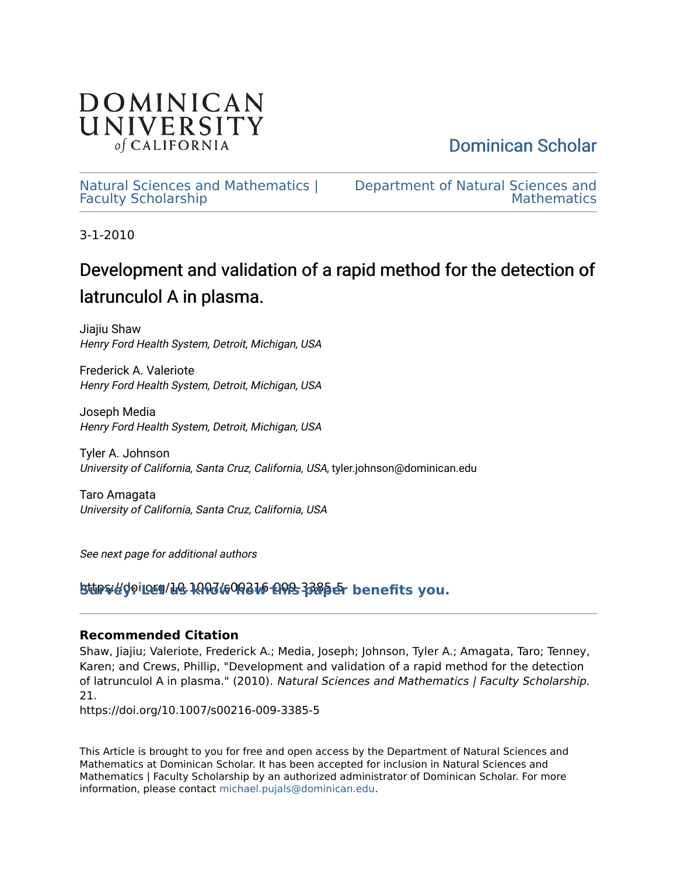

[Dominican Scholar](https://scholar.dominican.edu/) 

[Natural Sciences and Mathematics |](https://scholar.dominican.edu/natural-sciences-and-mathematics-faculty-scholarship) [Faculty Scholarship](https://scholar.dominican.edu/natural-sciences-and-mathematics-faculty-scholarship) 

[Department of Natural Sciences and](https://scholar.dominican.edu/natural-sciences-and-mathematics)  **Mathematics** 

3-1-2010

# Development and validation of a rapid method for the detection of latrunculol A in plasma.

Jiajiu Shaw Henry Ford Health System, Detroit, Michigan, USA

Frederick A. Valeriote Henry Ford Health System, Detroit, Michigan, USA

Joseph Media Henry Ford Health System, Detroit, Michigan, USA

Tyler A. Johnson University of California, Santa Cruz, California, USA, tyler.johnson@dominican.edu

Taro Amagata University of California, Santa Cruz, California, USA

See next page for additional authors

https://doi.or **[Survey: Let us know how this paper benefits you.](https://dominican.libwizard.com/dominican-scholar-feedback)** g/10.1007/s00216-009-3385-5

## **Recommended Citation**

Shaw, Jiajiu; Valeriote, Frederick A.; Media, Joseph; Johnson, Tyler A.; Amagata, Taro; Tenney, Karen; and Crews, Phillip, "Development and validation of a rapid method for the detection of latrunculol A in plasma." (2010). Natural Sciences and Mathematics | Faculty Scholarship. 21.

https://doi.org/10.1007/s00216-009-3385-5

This Article is brought to you for free and open access by the Department of Natural Sciences and Mathematics at Dominican Scholar. It has been accepted for inclusion in Natural Sciences and Mathematics | Faculty Scholarship by an authorized administrator of Dominican Scholar. For more information, please contact [michael.pujals@dominican.edu](mailto:michael.pujals@dominican.edu).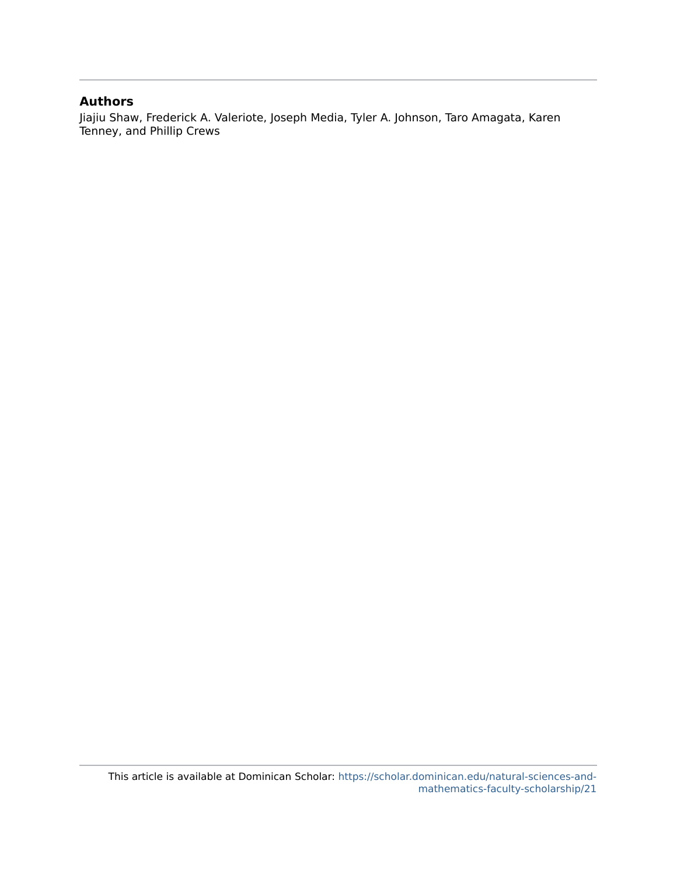### **Authors**

Jiajiu Shaw, Frederick A. Valeriote, Joseph Media, Tyler A. Johnson, Taro Amagata, Karen Tenney, and Phillip Crews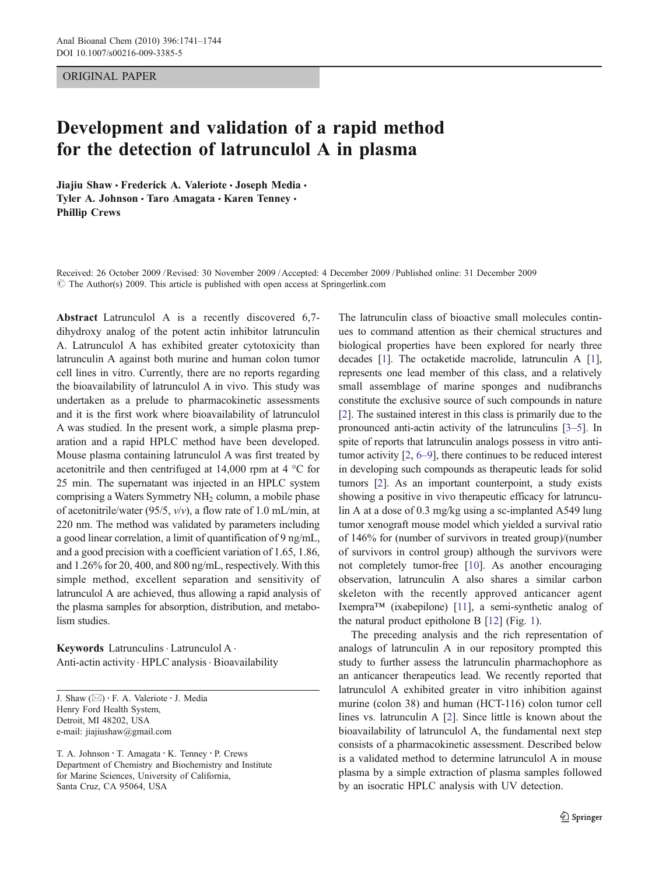### ORIGINAL PAPER

## Development and validation of a rapid method for the detection of latrunculol A in plasma

Jiajiu Shaw · Frederick A. Valeriote · Joseph Media · Tyler A. Johnson · Taro Amagata · Karen Tenney · Phillip Crews

Received: 26 October 2009 /Revised: 30 November 2009 /Accepted: 4 December 2009 / Published online: 31 December 2009  $\circ$  The Author(s) 2009. This article is published with open access at Springerlink.com

Abstract Latrunculol A is a recently discovered 6,7 dihydroxy analog of the potent actin inhibitor latrunculin A. Latrunculol A has exhibited greater cytotoxicity than latrunculin A against both murine and human colon tumor cell lines in vitro. Currently, there are no reports regarding the bioavailability of latrunculol A in vivo. This study was undertaken as a prelude to pharmacokinetic assessments and it is the first work where bioavailability of latrunculol A was studied. In the present work, a simple plasma preparation and a rapid HPLC method have been developed. Mouse plasma containing latrunculol A was first treated by acetonitrile and then centrifuged at 14,000 rpm at 4 °C for 25 min. The supernatant was injected in an HPLC system comprising a Waters Symmetry NH<sub>2</sub> column, a mobile phase of acetonitrile/water (95/5,  $v/v$ ), a flow rate of 1.0 mL/min, at 220 nm. The method was validated by parameters including a good linear correlation, a limit of quantification of 9 ng/mL, and a good precision with a coefficient variation of 1.65, 1.86, and 1.26% for 20, 400, and 800 ng/mL, respectively. With this simple method, excellent separation and sensitivity of latrunculol A are achieved, thus allowing a rapid analysis of the plasma samples for absorption, distribution, and metabolism studies.

Keywords Latrunculins · Latrunculol A · Anti-actin activity · HPLC analysis · Bioavailability

J. Shaw (*\**) : F. A. Valeriote : J. Media Henry Ford Health System, Detroit, MI 48202, USA e-mail: jiajiushaw@gmail.com

T. A. Johnson : T. Amagata : K. Tenney : P. Crews Department of Chemistry and Biochemistry and Institute for Marine Sciences, University of California, Santa Cruz, CA 95064, USA

The latrunculin class of bioactive small molecules continues to command attention as their chemical structures and biological properties have been explored for nearly three decades [\[1\]](#page-5-0). The octaketide macrolide, latrunculin A [[1\]](#page-5-0), represents one lead member of this class, and a relatively small assemblage of marine sponges and nudibranchs constitute the exclusive source of such compounds in nature [\[2](#page-5-0)]. The sustained interest in this class is primarily due to the pronounced anti-actin activity of the latrunculins [[3](#page-5-0)–[5](#page-5-0)]. In spite of reports that latrunculin analogs possess in vitro antitumor activity [\[2](#page-5-0), [6](#page-5-0)–[9](#page-5-0)], there continues to be reduced interest in developing such compounds as therapeutic leads for solid tumors [\[2](#page-5-0)]. As an important counterpoint, a study exists showing a positive in vivo therapeutic efficacy for latrunculin A at a dose of 0.3 mg/kg using a sc-implanted A549 lung tumor xenograft mouse model which yielded a survival ratio of 146% for (number of survivors in treated group)/(number of survivors in control group) although the survivors were not completely tumor-free [\[10](#page-5-0)]. As another encouraging observation, latrunculin A also shares a similar carbon skeleton with the recently approved anticancer agent Ixempra*™* (ixabepilone) [\[11\]](#page-5-0), a semi-synthetic analog of the natural product epitholone B [\[12](#page-5-0)] (Fig. [1](#page-3-0)).

The preceding analysis and the rich representation of analogs of latrunculin A in our repository prompted this study to further assess the latrunculin pharmachophore as an anticancer therapeutics lead. We recently reported that latrunculol A exhibited greater in vitro inhibition against murine (colon 38) and human (HCT-116) colon tumor cell lines vs. latrunculin A [[2\]](#page-5-0). Since little is known about the bioavailability of latrunculol A, the fundamental next step consists of a pharmacokinetic assessment. Described below is a validated method to determine latrunculol A in mouse plasma by a simple extraction of plasma samples followed by an isocratic HPLC analysis with UV detection.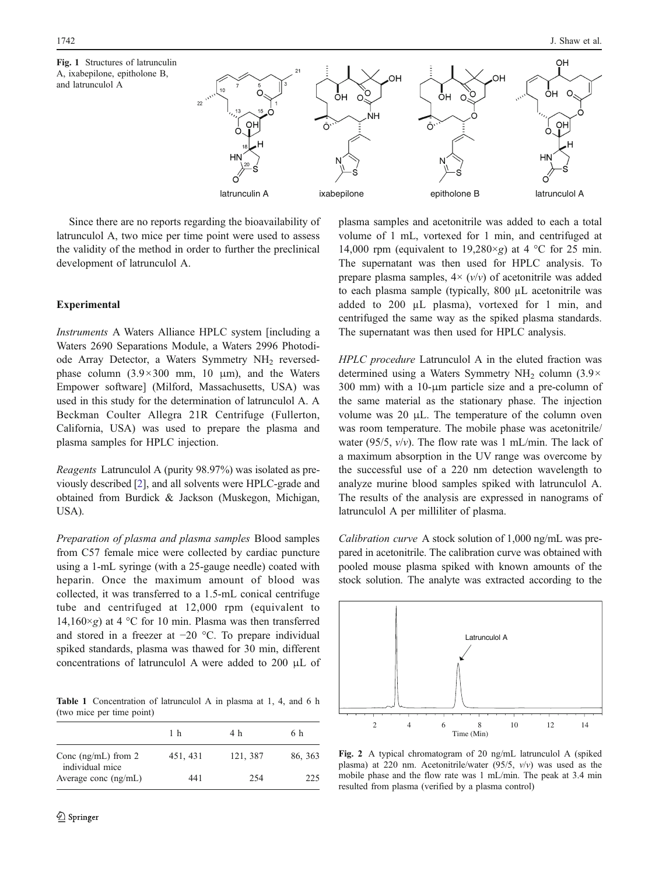<span id="page-3-0"></span>

Since there are no reports regarding the bioavailability of latrunculol A, two mice per time point were used to assess the validity of the method in order to further the preclinical development of latrunculol A.

### Experimental

Instruments A Waters Alliance HPLC system [including a Waters 2690 Separations Module, a Waters 2996 Photodiode Array Detector, a Waters Symmetry NH<sub>2</sub> reversedphase column  $(3.9 \times 300 \text{ mm}, 10 \text{ }\mu\text{m})$ , and the Waters Empower software] (Milford, Massachusetts, USA) was used in this study for the determination of latrunculol A. A Beckman Coulter Allegra 21R Centrifuge (Fullerton, California, USA) was used to prepare the plasma and plasma samples for HPLC injection.

Reagents Latrunculol A (purity 98.97%) was isolated as previously described [\[2](#page-5-0)], and all solvents were HPLC-grade and obtained from Burdick & Jackson (Muskegon, Michigan, USA).

Preparation of plasma and plasma samples Blood samples from C57 female mice were collected by cardiac puncture using a 1-mL syringe (with a 25-gauge needle) coated with heparin. Once the maximum amount of blood was collected, it was transferred to a 1.5-mL conical centrifuge tube and centrifuged at 12,000 rpm (equivalent to 14,160×g) at 4 °C for 10 min. Plasma was then transferred and stored in a freezer at −20 °C. To prepare individual spiked standards, plasma was thawed for 30 min, different concentrations of latrunculol A were added to 200 μL of

Table 1 Concentration of latrunculol A in plasma at 1, 4, and 6 h (two mice per time point)

|                                          | 1 h      | 4 h      | 6 h     |
|------------------------------------------|----------|----------|---------|
| Conc $(ng/mL)$ from 2<br>individual mice | 451, 431 | 121, 387 | 86, 363 |
| Average conc $(ng/mL)$                   | 441      | 254      | 225     |

plasma samples and acetonitrile was added to each a total volume of 1 mL, vortexed for 1 min, and centrifuged at 14,000 rpm (equivalent to 19,280 $\times$ g) at 4 °C for 25 min. The supernatant was then used for HPLC analysis. To prepare plasma samples,  $4 \times (v/v)$  of acetonitrile was added to each plasma sample (typically, 800 µL acetonitrile was added to 200 µL plasma), vortexed for 1 min, and centrifuged the same way as the spiked plasma standards. The supernatant was then used for HPLC analysis.

HPLC procedure Latrunculol A in the eluted fraction was determined using a Waters Symmetry NH<sub>2</sub> column  $(3.9 \times$ 300 mm) with a 10-μm particle size and a pre-column of the same material as the stationary phase. The injection volume was 20 μL. The temperature of the column oven was room temperature. The mobile phase was acetonitrile/ water (95/5,  $v/v$ ). The flow rate was 1 mL/min. The lack of a maximum absorption in the UV range was overcome by the successful use of a 220 nm detection wavelength to analyze murine blood samples spiked with latrunculol A. The results of the analysis are expressed in nanograms of latrunculol A per milliliter of plasma.

Calibration curve A stock solution of 1,000 ng/mL was prepared in acetonitrile. The calibration curve was obtained with pooled mouse plasma spiked with known amounts of the stock solution. The analyte was extracted according to the



Fig. 2 A typical chromatogram of 20 ng/mL latrunculol A (spiked plasma) at 220 nm. Acetonitrile/water (95/5, v/v) was used as the mobile phase and the flow rate was 1 mL/min. The peak at 3.4 min resulted from plasma (verified by a plasma control)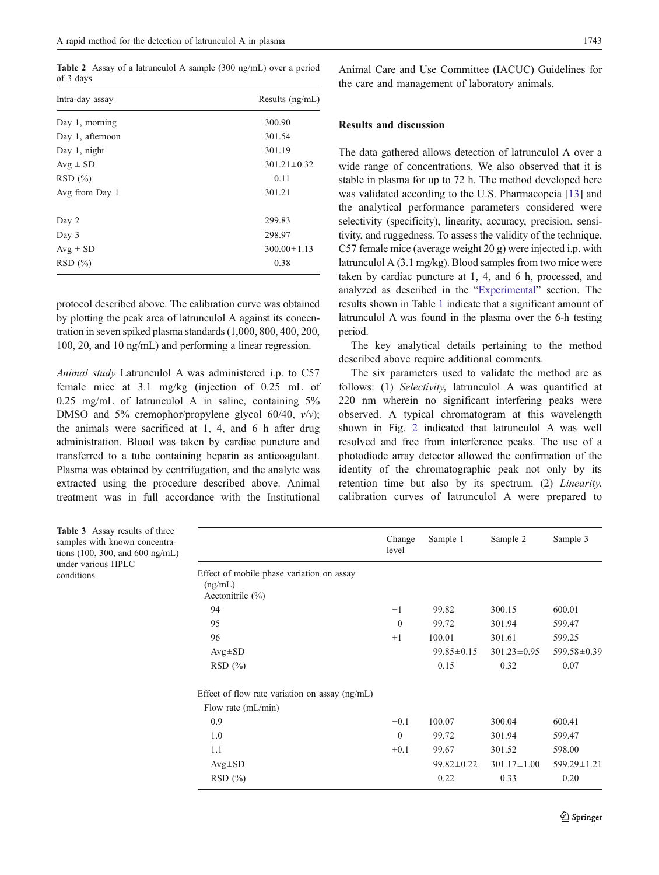<span id="page-4-0"></span>Table 2 Assay of a latrunculol A sample (300 ng/mL) over a period of 3 days

| Intra-day assay  | Results $(ng/mL)$ |
|------------------|-------------------|
| Day 1, morning   | 300.90            |
| Day 1, afternoon | 301.54            |
| Day 1, night     | 301.19            |
| $Avg \pm SD$     | $301.21 \pm 0.32$ |
| RSD(%)           | 0.11              |
| Avg from Day 1   | 301.21            |
| Day 2            | 299.83            |
| Day 3            | 298.97            |
| $Avg \pm SD$     | $300.00 \pm 1.13$ |
| RSD(%)           | 0.38              |

protocol described above. The calibration curve was obtained by plotting the peak area of latrunculol A against its concentration in seven spiked plasma standards (1,000, 800, 400, 200, 100, 20, and 10 ng/mL) and performing a linear regression.

Animal study Latrunculol A was administered i.p. to C57 female mice at 3.1 mg/kg (injection of 0.25 mL of 0.25 mg/mL of latrunculol A in saline, containing 5% DMSO and 5% cremophor/propylene glycol 60/40,  $v/v$ ); the animals were sacrificed at 1, 4, and 6 h after drug administration. Blood was taken by cardiac puncture and transferred to a tube containing heparin as anticoagulant. Plasma was obtained by centrifugation, and the analyte was extracted using the procedure described above. Animal treatment was in full accordance with the Institutional

 $c<sub>0</sub>$ 

Animal Care and Use Committee (IACUC) Guidelines for the care and management of laboratory animals.

### Results and discussion

The data gathered allows detection of latrunculol A over a wide range of concentrations. We also observed that it is stable in plasma for up to 72 h. The method developed here was validated according to the U.S. Pharmacopeia [[13\]](#page-5-0) and the analytical performance parameters considered were selectivity (specificity), linearity, accuracy, precision, sensitivity, and ruggedness. To assess the validity of the technique, C57 female mice (average weight 20 g) were injected i.p. with latrunculol A (3.1 mg/kg). Blood samples from two mice were taken by cardiac puncture at 1, 4, and 6 h, processed, and analyzed as described in the "[Experimental](#page-3-0)" section. The results shown in Table [1](#page-3-0) indicate that a significant amount of latrunculol A was found in the plasma over the 6-h testing period.

The key analytical details pertaining to the method described above require additional comments.

The six parameters used to validate the method are as follows: (1) Selectivity, latrunculol A was quantified at 220 nm wherein no significant interfering peaks were observed. A typical chromatogram at this wavelength shown in Fig. [2](#page-3-0) indicated that latrunculol A was well resolved and free from interference peaks. The use of a photodiode array detector allowed the confirmation of the identity of the chromatographic peak not only by its retention time but also by its spectrum. (2) Linearity, calibration curves of latrunculol A were prepared to

| <b>Table 3</b> Assay results of three<br>samples with known concentra-<br>tions $(100, 300, \text{ and } 600 \text{ ng/mL})$ |                                                                              | Change<br>level | Sample 1         | Sample 2          | Sample 3          |
|------------------------------------------------------------------------------------------------------------------------------|------------------------------------------------------------------------------|-----------------|------------------|-------------------|-------------------|
| under various HPLC<br>conditions                                                                                             | Effect of mobile phase variation on assay<br>(ng/mL)<br>Acetonitrile $(\% )$ |                 |                  |                   |                   |
|                                                                                                                              | 94                                                                           | $-1$            | 99.82            | 300.15            | 600.01            |
|                                                                                                                              | 95                                                                           | $\theta$        | 99.72            | 301.94            | 599.47            |
|                                                                                                                              | 96                                                                           | $+1$            | 100.01           | 301.61            | 599.25            |
|                                                                                                                              | $Avg \pm SD$                                                                 |                 | $99.85 \pm 0.15$ | $301.23 \pm 0.95$ | $599.58 \pm 0.39$ |
|                                                                                                                              | RSD(%)                                                                       |                 | 0.15             | 0.32              | 0.07              |
|                                                                                                                              | Effect of flow rate variation on assay $(ng/mL)$                             |                 |                  |                   |                   |
|                                                                                                                              | Flow rate $(mL/min)$                                                         |                 |                  |                   |                   |
|                                                                                                                              | 0.9                                                                          | $-0.1$          | 100.07           | 300.04            | 600.41            |
|                                                                                                                              | 1.0                                                                          | $\theta$        | 99.72            | 301.94            | 599.47            |
|                                                                                                                              | 1.1                                                                          | $+0.1$          | 99.67            | 301.52            | 598.00            |
|                                                                                                                              | $Avg \pm SD$                                                                 |                 | $99.82 \pm 0.22$ | $301.17 \pm 1.00$ | $599.29 \pm 1.21$ |
|                                                                                                                              | RSD(%)                                                                       |                 | 0.22             | 0.33              | 0.20              |
|                                                                                                                              |                                                                              |                 |                  |                   |                   |